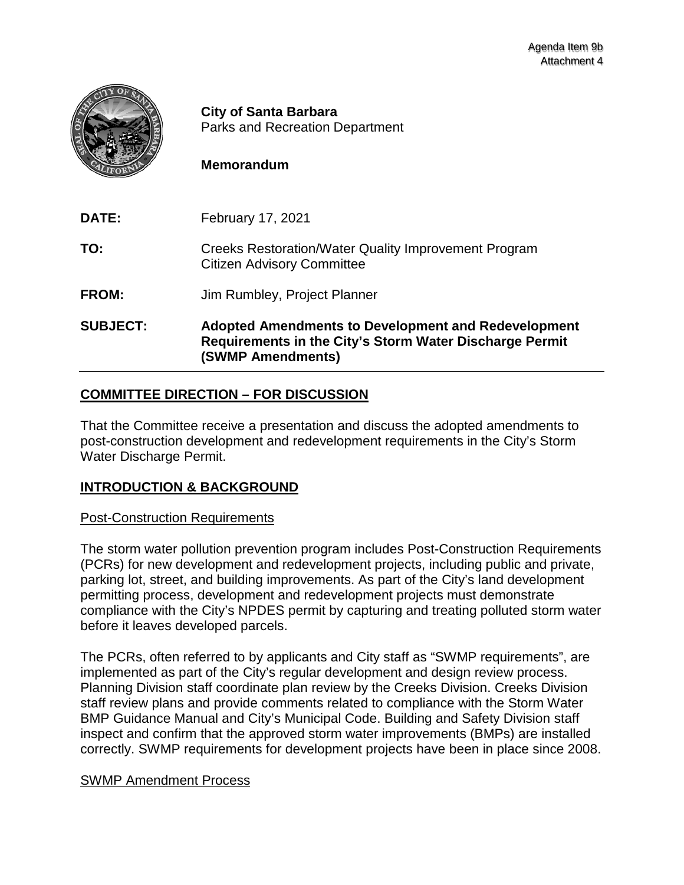

**City of Santa Barbara** Parks and Recreation Department

# **Memorandum**

| <b>SUBJECT:</b> | <b>Adopted Amendments to Development and Redevelopment</b><br>Requirements in the City's Storm Water Discharge Permit<br>(SWMP Amendments) |
|-----------------|--------------------------------------------------------------------------------------------------------------------------------------------|
| FROM:           | Jim Rumbley, Project Planner                                                                                                               |
| TO:             | <b>Creeks Restoration/Water Quality Improvement Program</b><br><b>Citizen Advisory Committee</b>                                           |
| <b>DATE:</b>    | February 17, 2021                                                                                                                          |

# **COMMITTEE DIRECTION – FOR DISCUSSION**

That the Committee receive a presentation and discuss the adopted amendments to post-construction development and redevelopment requirements in the City's Storm Water Discharge Permit.

# **INTRODUCTION & BACKGROUND**

#### Post-Construction Requirements

The storm water pollution prevention program includes Post-Construction Requirements (PCRs) for new development and redevelopment projects, including public and private, parking lot, street, and building improvements. As part of the City's land development permitting process, development and redevelopment projects must demonstrate compliance with the City's NPDES permit by capturing and treating polluted storm water before it leaves developed parcels.

The PCRs, often referred to by applicants and City staff as "SWMP requirements", are implemented as part of the City's regular development and design review process. Planning Division staff coordinate plan review by the Creeks Division. Creeks Division staff review plans and provide comments related to compliance with the Storm Water BMP Guidance Manual and City's Municipal Code. Building and Safety Division staff inspect and confirm that the approved storm water improvements (BMPs) are installed correctly. SWMP requirements for development projects have been in place since 2008.

# SWMP Amendment Process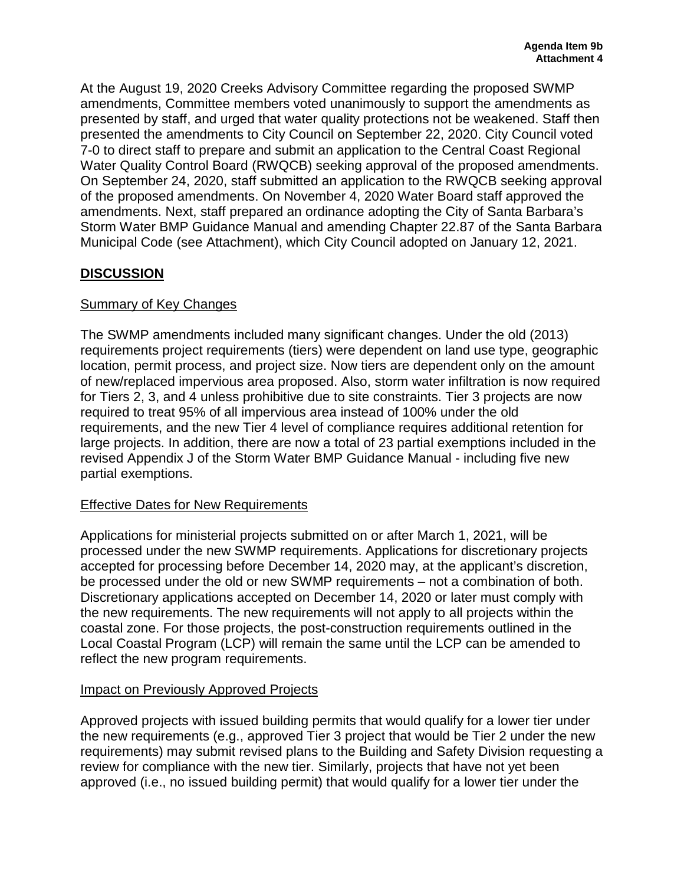At the August 19, 2020 Creeks Advisory Committee regarding the proposed SWMP amendments, Committee members voted unanimously to support the amendments as presented by staff, and urged that water quality protections not be weakened. Staff then presented the amendments to City Council on September 22, 2020. City Council voted 7-0 to direct staff to prepare and submit an application to the Central Coast Regional Water Quality Control Board (RWQCB) seeking approval of the proposed amendments. On September 24, 2020, staff submitted an application to the RWQCB seeking approval of the proposed amendments. On November 4, 2020 Water Board staff approved the amendments. Next, staff prepared an ordinance adopting the City of Santa Barbara's Storm Water BMP Guidance Manual and amending Chapter 22.87 of the Santa Barbara Municipal Code (see Attachment), which City Council adopted on January 12, 2021.

# **DISCUSSION**

# Summary of Key Changes

The SWMP amendments included many significant changes. Under the old (2013) requirements project requirements (tiers) were dependent on land use type, geographic location, permit process, and project size. Now tiers are dependent only on the amount of new/replaced impervious area proposed. Also, storm water infiltration is now required for Tiers 2, 3, and 4 unless prohibitive due to site constraints. Tier 3 projects are now required to treat 95% of all impervious area instead of 100% under the old requirements, and the new Tier 4 level of compliance requires additional retention for large projects. In addition, there are now a total of 23 partial exemptions included in the revised Appendix J of the Storm Water BMP Guidance Manual - including five new partial exemptions.

# Effective Dates for New Requirements

Applications for ministerial projects submitted on or after March 1, 2021, will be processed under the new SWMP requirements. Applications for discretionary projects accepted for processing before December 14, 2020 may, at the applicant's discretion, be processed under the old or new SWMP requirements – not a combination of both. Discretionary applications accepted on December 14, 2020 or later must comply with the new requirements. The new requirements will not apply to all projects within the coastal zone. For those projects, the post-construction requirements outlined in the Local Coastal Program (LCP) will remain the same until the LCP can be amended to reflect the new program requirements.

# Impact on Previously Approved Projects

Approved projects with issued building permits that would qualify for a lower tier under the new requirements (e.g., approved Tier 3 project that would be Tier 2 under the new requirements) may submit revised plans to the Building and Safety Division requesting a review for compliance with the new tier. Similarly, projects that have not yet been approved (i.e., no issued building permit) that would qualify for a lower tier under the